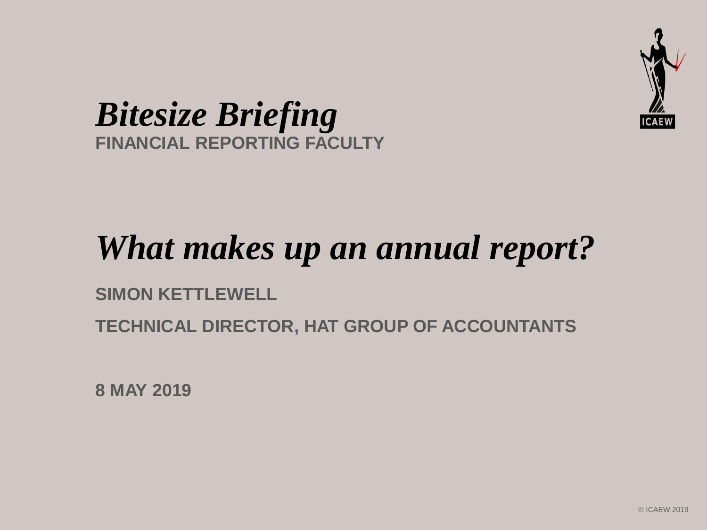

#### *Bitesize Briefing* **FINANCIAL REPORTING FACULTY**

## *What makes up an annual report?*

#### **SIMON KETTLEWELL**

**TECHNICAL DIRECTOR, HAT GROUP OF ACCOUNTANTS**

**8 MAY 2019**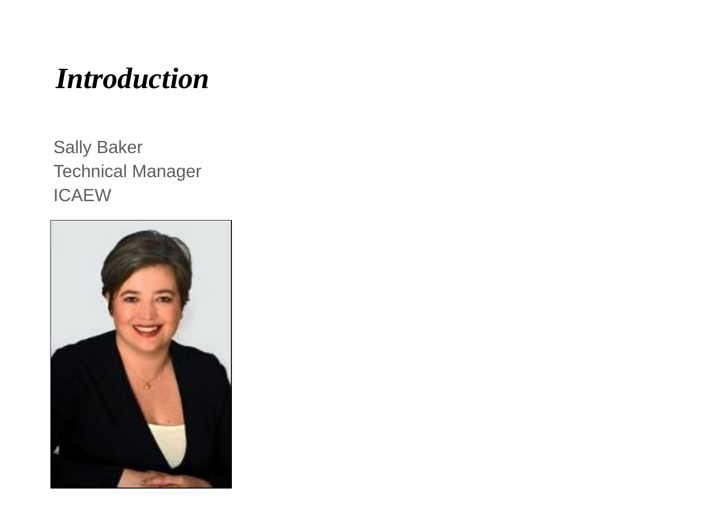#### *Introduction*

Sally Baker Technical Manager ICAEW

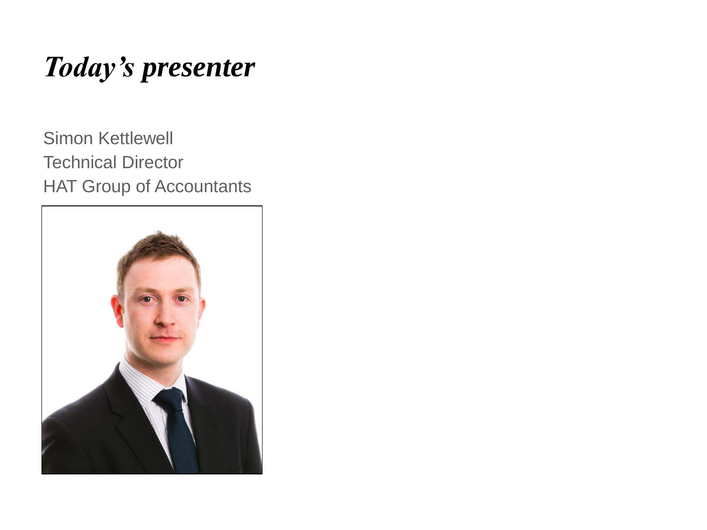### *Today's presenter*

Simon Kettlewell Technical Director HAT Group of Accountants

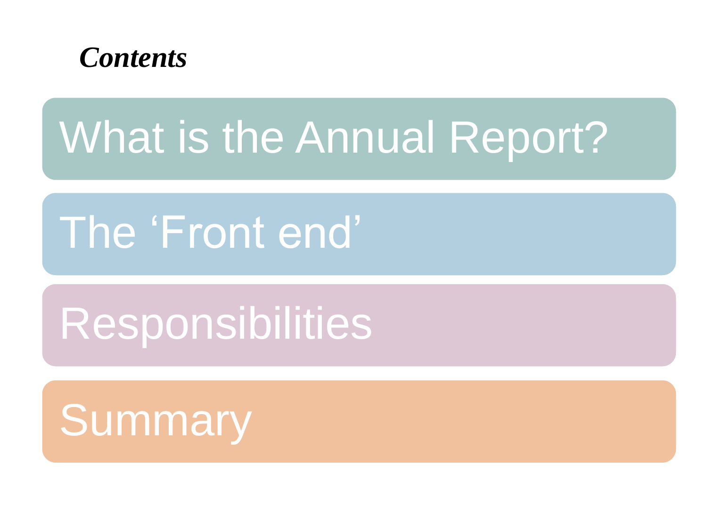

# The 'Front end'

# Responsibilities

# **Summary**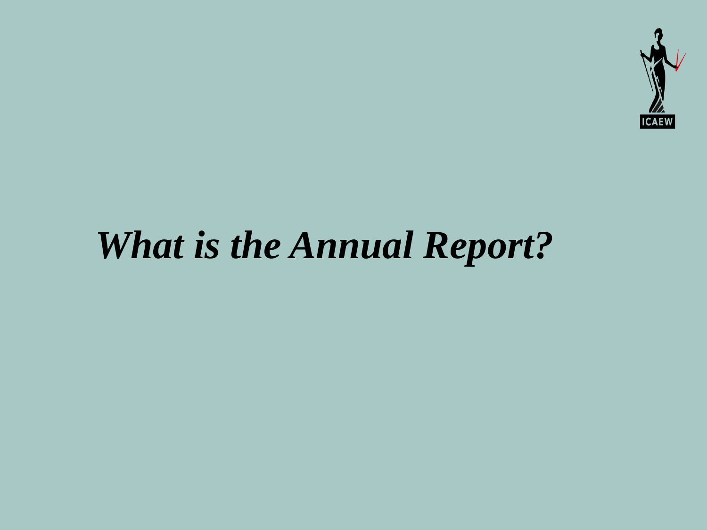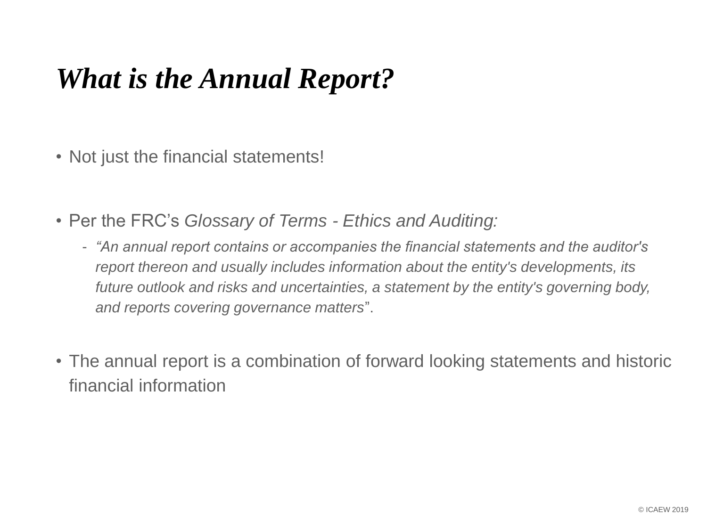- Not just the financial statements!
- Per the FRC's *Glossary of Terms - Ethics and Auditing:*
	- *"An annual report contains or accompanies the financial statements and the auditor's report thereon and usually includes information about the entity's developments, its future outlook and risks and uncertainties, a statement by the entity's governing body, and reports covering governance matters*".
- The annual report is a combination of forward looking statements and historic financial information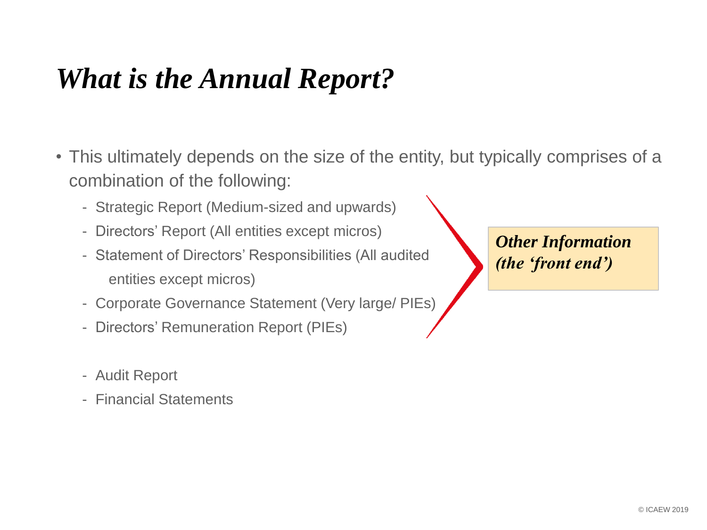- This ultimately depends on the size of the entity, but typically comprises of a combination of the following:
	- Strategic Report (Medium-sized and upwards)
	- Directors' Report (All entities except micros)
	- Statement of Directors' Responsibilities (All audited entities except micros)
	- Corporate Governance Statement (Very large/ PIEs)
	- Directors' Remuneration Report (PIEs)
	- Audit Report
	- Financial Statements

*Other Information (the 'front end')*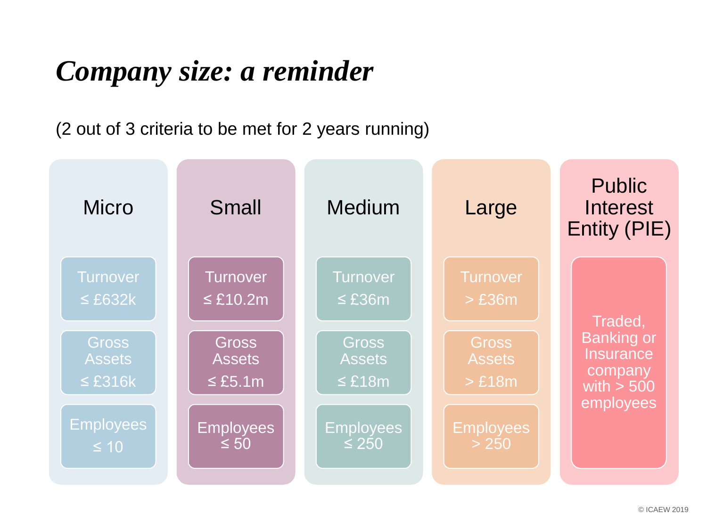#### *Company size: a reminder*

(2 out of 3 criteria to be met for 2 years running)

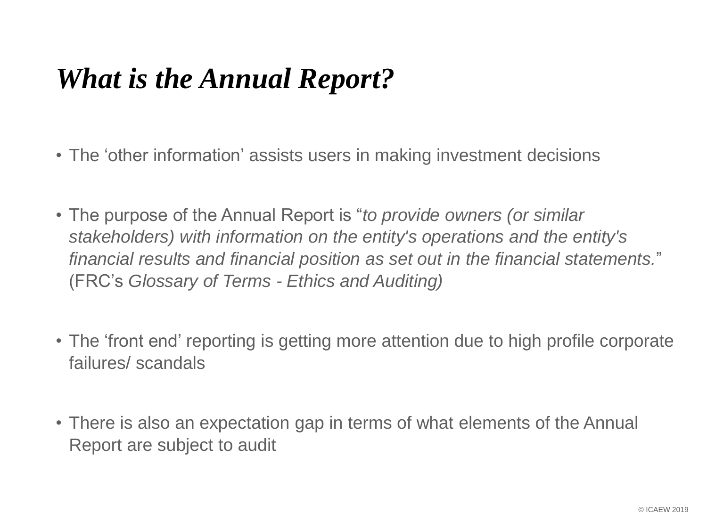- The 'other information' assists users in making investment decisions
- The purpose of the Annual Report is "*to provide owners (or similar stakeholders) with information on the entity's operations and the entity's financial results and financial position as set out in the financial statements.*" (FRC's *Glossary of Terms - Ethics and Auditing)*
- The 'front end' reporting is getting more attention due to high profile corporate failures/ scandals
- There is also an expectation gap in terms of what elements of the Annual Report are subject to audit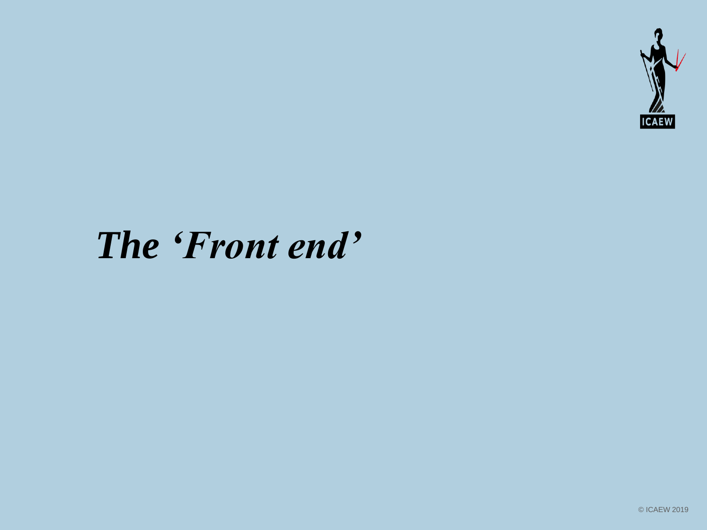

## *The 'Front end'*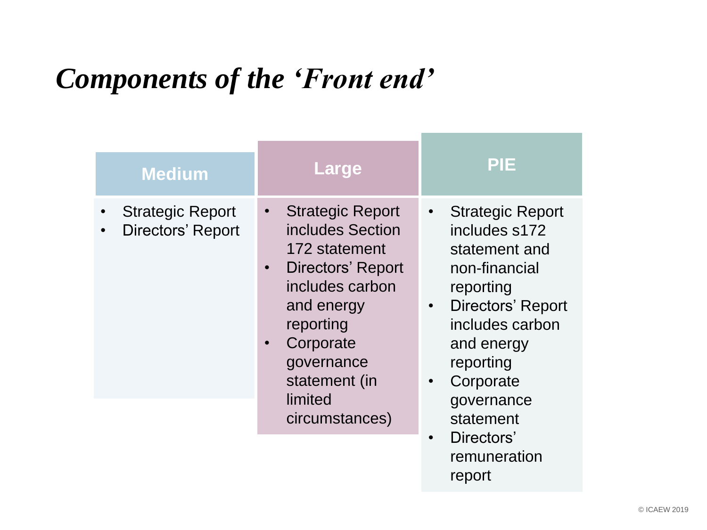### *Components of the 'Front end'*

| <b>Medium</b>                                                    | <b>Large</b>                                                                                                                                                                                                     | <b>PIE</b>                                                                                                                                                                                                                                |
|------------------------------------------------------------------|------------------------------------------------------------------------------------------------------------------------------------------------------------------------------------------------------------------|-------------------------------------------------------------------------------------------------------------------------------------------------------------------------------------------------------------------------------------------|
| <b>Strategic Report</b><br><b>Directors' Report</b><br>$\bullet$ | • Strategic Report<br>includes Section<br>172 statement<br>Directors' Report<br>$\bullet$<br>includes carbon<br>and energy<br>reporting<br>Corporate<br>governance<br>statement (in<br>limited<br>circumstances) | <b>Strategic Report</b><br>$\bullet$<br>includes s172<br>statement and<br>non-financial<br>reporting<br>Directors' Report<br>$\bullet$<br>includes carbon<br>and energy<br>reporting<br>Corporate<br>$\bullet$<br>governance<br>statement |
|                                                                  |                                                                                                                                                                                                                  | Directors'                                                                                                                                                                                                                                |

remuneration

report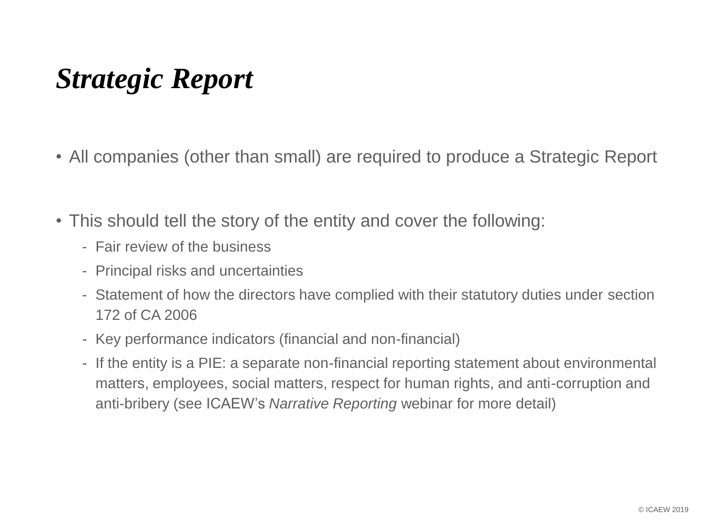#### *Strategic Report*

- All companies (other than small) are required to produce a Strategic Report
- This should tell the story of the entity and cover the following:
	- Fair review of the business
	- Principal risks and uncertainties
	- Statement of how the directors have complied with their statutory duties under section 172 of CA 2006
	- Key performance indicators (financial and non-financial)
	- If the entity is a PIE: a separate non-financial reporting statement about environmental matters, employees, social matters, respect for human rights, and anti-corruption and anti-bribery (see ICAEW's *Narrative Reporting* webinar for more detail)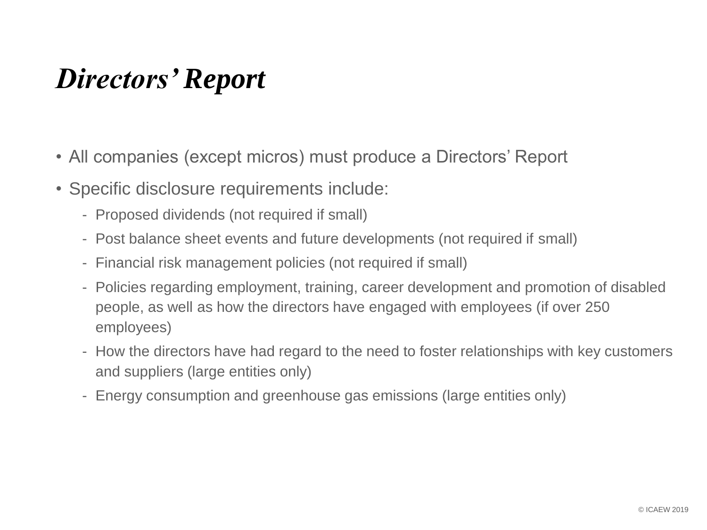#### *Directors' Report*

- All companies (except micros) must produce a Directors' Report
- Specific disclosure requirements include:
	- Proposed dividends (not required if small)
	- Post balance sheet events and future developments (not required if small)
	- Financial risk management policies (not required if small)
	- Policies regarding employment, training, career development and promotion of disabled people, as well as how the directors have engaged with employees (if over 250 employees)
	- How the directors have had regard to the need to foster relationships with key customers and suppliers (large entities only)
	- Energy consumption and greenhouse gas emissions (large entities only)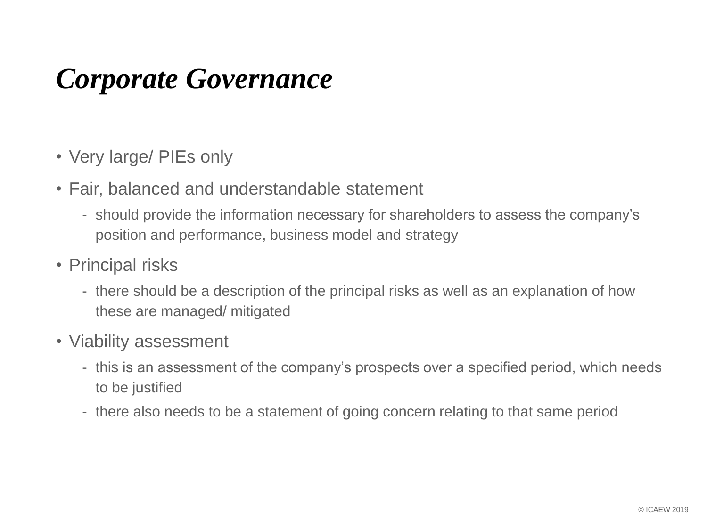#### *Corporate Governance*

- Very large/ PIEs only
- Fair, balanced and understandable statement
	- should provide the information necessary for shareholders to assess the company's position and performance, business model and strategy
- Principal risks
	- there should be a description of the principal risks as well as an explanation of how these are managed/ mitigated
- Viability assessment
	- this is an assessment of the company's prospects over a specified period, which needs to be justified
	- there also needs to be a statement of going concern relating to that same period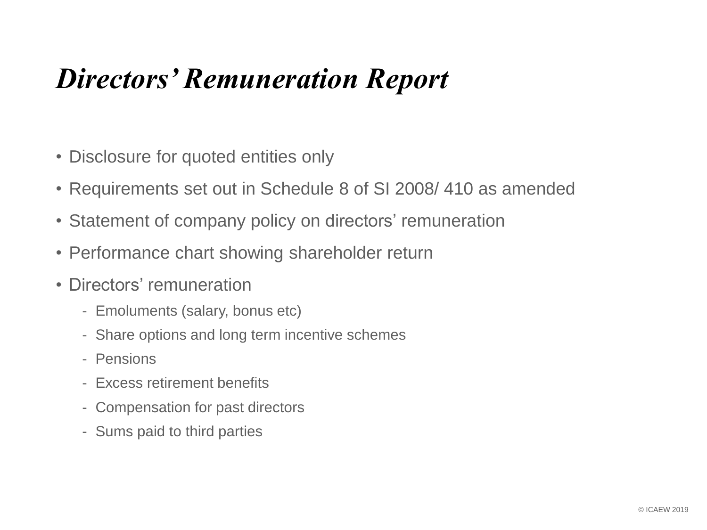#### *Directors' Remuneration Report*

- Disclosure for quoted entities only
- Requirements set out in Schedule 8 of SI 2008/ 410 as amended
- Statement of company policy on directors' remuneration
- Performance chart showing shareholder return
- Directors' remuneration
	- Emoluments (salary, bonus etc)
	- Share options and long term incentive schemes
	- Pensions
	- Excess retirement benefits
	- Compensation for past directors
	- Sums paid to third parties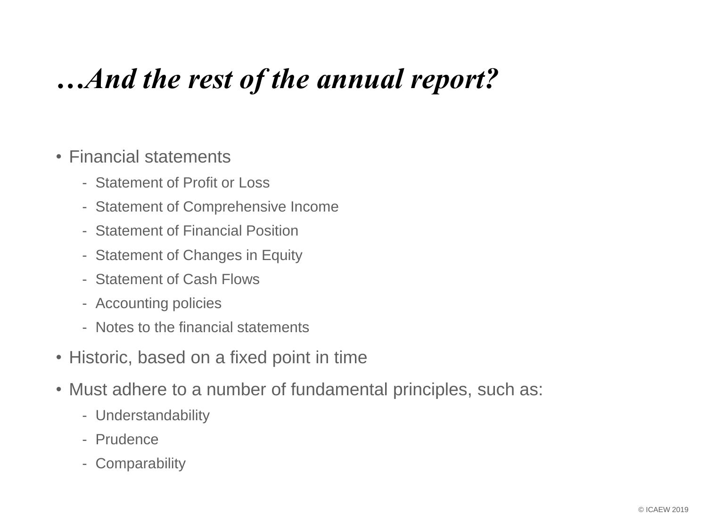### *…And the rest of the annual report?*

#### • Financial statements

- Statement of Profit or Loss
- Statement of Comprehensive Income
- Statement of Financial Position
- Statement of Changes in Equity
- Statement of Cash Flows
- Accounting policies
- Notes to the financial statements
- Historic, based on a fixed point in time
- Must adhere to a number of fundamental principles, such as:
	- Understandability
	- Prudence
	- Comparability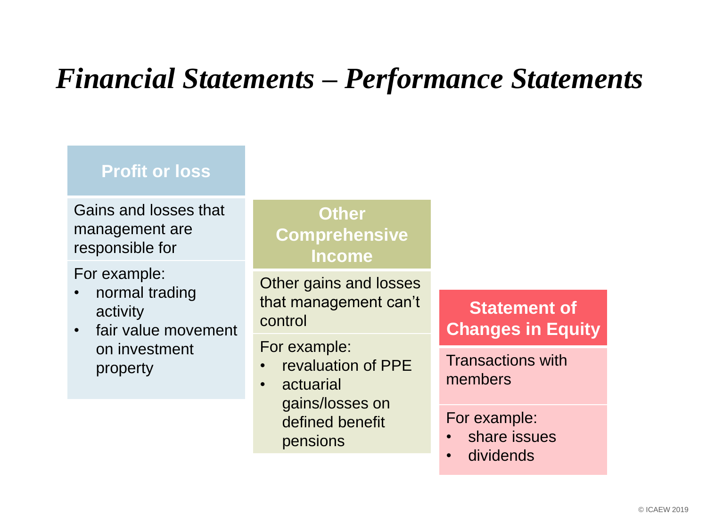#### *Financial Statements – Performance Statements*

#### **Profit or loss**

Gains and losses that management are responsible for

For example:

- normal trading activity
- fair value movement on investment property

**Other Comprehensive Income**

Other gains and losses that management can't control

For example:

- revaluation of PPE
- actuarial gains/losses on defined benefit pensions

**Statement of Changes in Equity**

Transactions with members

#### For example:

- share issues
- dividends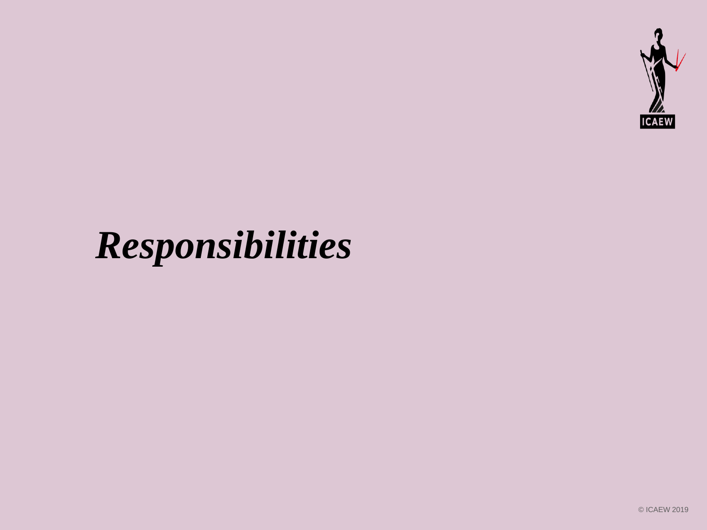

## *Responsibilities*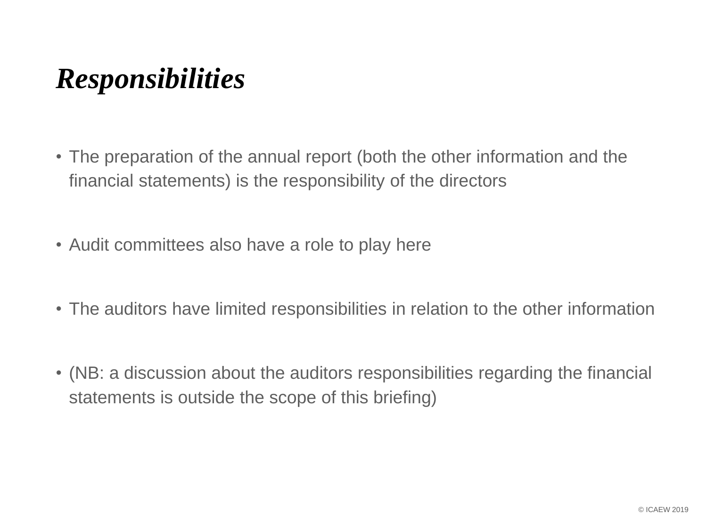#### *Responsibilities*

- The preparation of the annual report (both the other information and the financial statements) is the responsibility of the directors
- Audit committees also have a role to play here
- The auditors have limited responsibilities in relation to the other information
- (NB: a discussion about the auditors responsibilities regarding the financial statements is outside the scope of this briefing)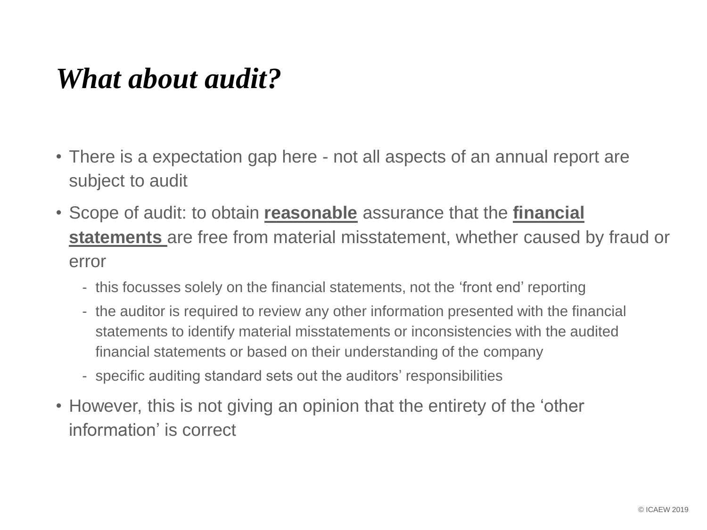#### *What about audit?*

- There is a expectation gap here not all aspects of an annual report are subject to audit
- Scope of audit: to obtain **reasonable** assurance that the **financial statements** are free from material misstatement, whether caused by fraud or error
	- this focusses solely on the financial statements, not the 'front end' reporting
	- the auditor is required to review any other information presented with the financial statements to identify material misstatements or inconsistencies with the audited financial statements or based on their understanding of the company
	- specific auditing standard sets out the auditors' responsibilities
- However, this is not giving an opinion that the entirety of the 'other information' is correct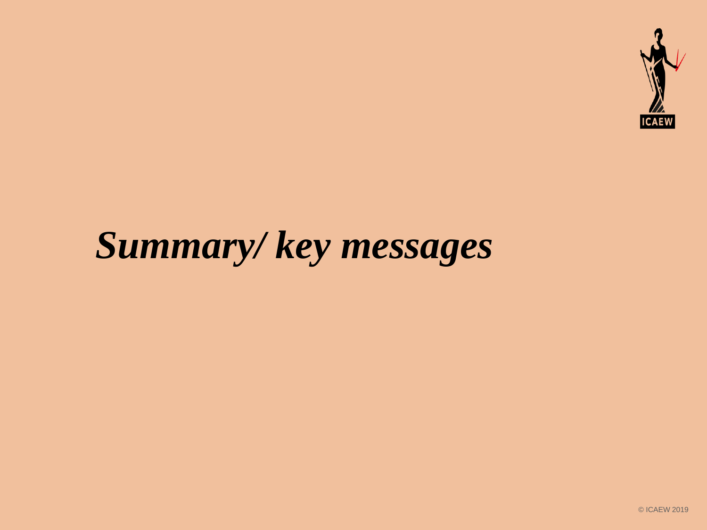

## *Summary/ key messages*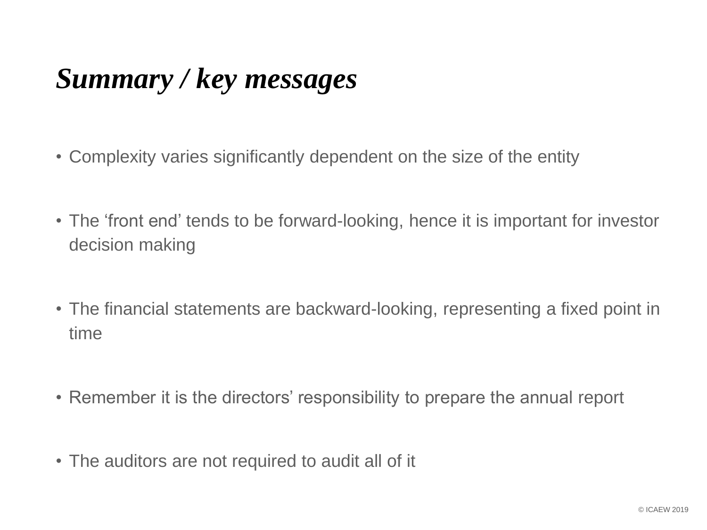### *Summary / key messages*

- Complexity varies significantly dependent on the size of the entity
- The 'front end' tends to be forward-looking, hence it is important for investor decision making
- The financial statements are backward-looking, representing a fixed point in time
- Remember it is the directors' responsibility to prepare the annual report
- The auditors are not required to audit all of it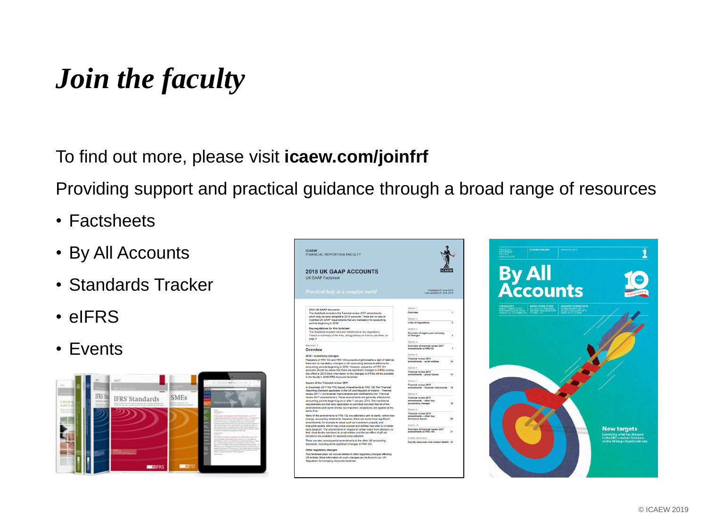#### *Join the faculty*

To find out more, please visit **icaew.com/joinfrf**

Providing support and practical guidance through a broad range of resources

- Factsheets
- By All Accounts
- Standards Tracker
- eIFRS
- Events



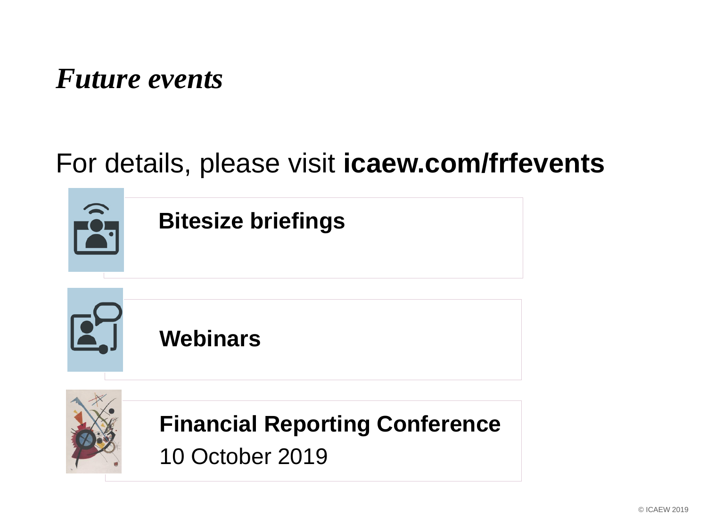#### *Future events*

#### For details, please visit **icaew.com/frfevents**

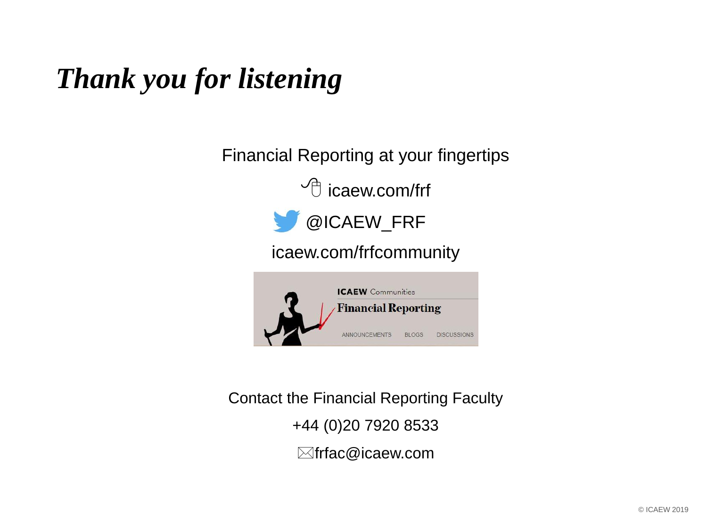### *Thank you for listening*

Financial Reporting at your fingertips

 $\sqrt{\phantom{a}}$  icaew.com/frf



icaew.com/frfcommunity



Contact the Financial Reporting Faculty +44 (0)20 7920 8533  $\boxtimes$ frfac@icaew.com